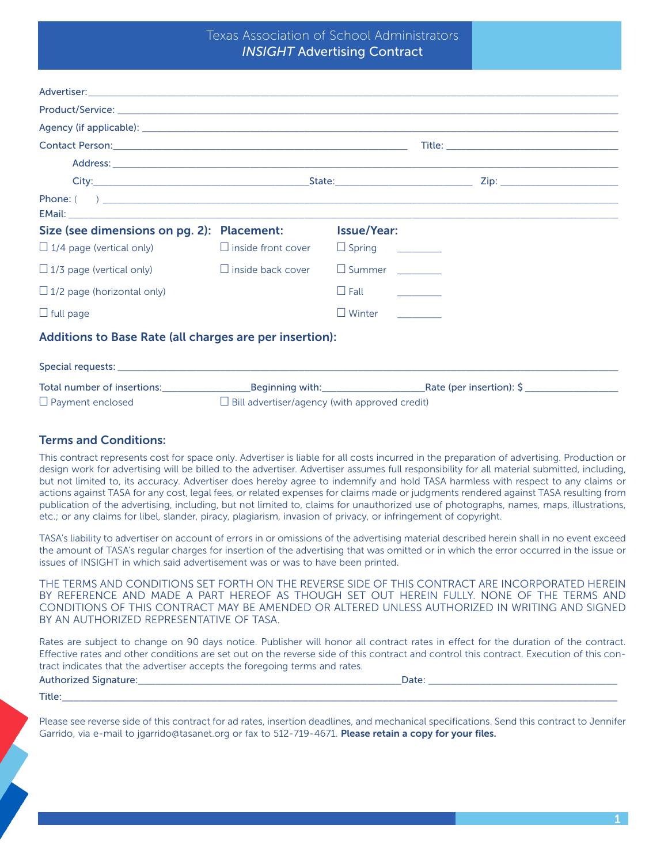# Texas Association of School Administrators *INSIGHT* Advertising Contract

| Size (see dimensions on pg. 2): Placement:                |                                                      | <b>Issue/Year:</b>       |  |  |
|-----------------------------------------------------------|------------------------------------------------------|--------------------------|--|--|
| $\Box$ 1/4 page (vertical only) $\Box$ inside front cover |                                                      | $\Box$ Spring __________ |  |  |
| $\Box$ 1/3 page (vertical only)                           | $\Box$ inside back cover                             | $\Box$ Summer            |  |  |
| $\Box$ 1/2 page (horizontal only)                         |                                                      | $\Box$ Fall $\Box$       |  |  |
| $\Box$ full page                                          |                                                      | $\Box$ Winter            |  |  |
| Additions to Base Rate (all charges are per insertion):   |                                                      |                          |  |  |
|                                                           |                                                      |                          |  |  |
|                                                           |                                                      |                          |  |  |
| $\Box$ Payment enclosed                                   | $\Box$ Bill advertiser/agency (with approved credit) |                          |  |  |

### Terms and Conditions:

This contract represents cost for space only. Advertiser is liable for all costs incurred in the preparation of advertising. Production or design work for advertising will be billed to the advertiser. Advertiser assumes full responsibility for all material submitted, including, but not limited to, its accuracy. Advertiser does hereby agree to indemnify and hold TASA harmless with respect to any claims or actions against TASA for any cost, legal fees, or related expenses for claims made or judgments rendered against TASA resulting from publication of the advertising, including, but not limited to, claims for unauthorized use of photographs, names, maps, illustrations, etc.; or any claims for libel, slander, piracy, plagiarism, invasion of privacy, or infringement of copyright.

TASA's liability to advertiser on account of errors in or omissions of the advertising material described herein shall in no event exceed the amount of TASA's regular charges for insertion of the advertising that was omitted or in which the error occurred in the issue or issues of INSIGHT in which said advertisement was or was to have been printed.

THE TERMS AND CONDITIONS SET FORTH ON THE REVERSE SIDE OF THIS CONTRACT ARE INCORPORATED HEREIN BY REFERENCE AND MADE A PART HEREOF AS THOUGH SET OUT HEREIN FULLY. NONE OF THE TERMS AND CONDITIONS OF THIS CONTRACT MAY BE AMENDED OR ALTERED UNLESS AUTHORIZED IN WRITING AND SIGNED BY AN AUTHORIZED REPRESENTATIVE OF TASA.

Rates are subject to change on 90 days notice. Publisher will honor all contract rates in effect for the duration of the contract. Effective rates and other conditions are set out on the reverse side of this contract and control this contract. Execution of this contract indicates that the advertiser accepts the foregoing terms and rates.

#### Authorized Signature:\_\_\_\_\_\_\_\_\_\_\_\_\_\_\_\_\_\_\_\_\_\_\_\_\_\_\_\_\_\_\_\_\_\_\_\_\_\_\_\_\_\_\_\_\_\_Date: \_\_\_\_\_\_\_\_\_\_\_\_\_\_\_\_\_\_\_\_\_\_\_\_\_\_\_\_\_\_\_\_\_

#### Title:\_\_\_\_\_\_\_\_\_\_\_\_\_\_\_\_\_\_\_\_\_\_\_\_\_\_\_\_\_\_\_\_\_\_\_\_\_\_\_\_\_\_\_\_\_\_\_\_\_\_\_\_\_\_\_\_\_\_\_\_\_\_\_\_\_\_\_\_\_\_\_\_\_\_\_\_\_\_\_\_\_\_\_\_\_\_\_\_\_\_\_\_\_\_\_\_\_

Please see reverse side of this contract for ad rates, insertion deadlines, and mechanical specifications. Send this contract to Jennifer Garrido, via e-mail to jgarrido@tasanet.org or fax to 512-719-4671. Please retain a copy for your files.